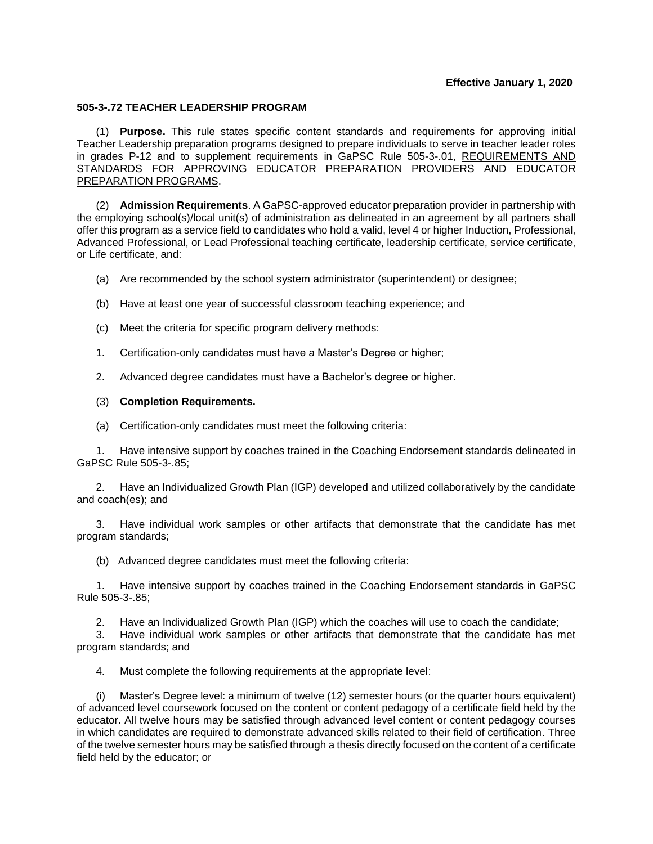## **Effective January 1, 2020**

## **505-3-.72 TEACHER LEADERSHIP PROGRAM**

(1) **Purpose.** This rule states specific content standards and requirements for approving initial Teacher Leadership preparation programs designed to prepare individuals to serve in teacher leader roles in grades P-12 and to supplement requirements in GaPSC Rule 505-3-.01, REQUIREMENTS AND STANDARDS FOR APPROVING EDUCATOR PREPARATION PROVIDERS AND EDUCATOR PREPARATION PROGRAMS.

(2) **Admission Requirements**. A GaPSC-approved educator preparation provider in partnership with the employing school(s)/local unit(s) of administration as delineated in an agreement by all partners shall offer this program as a service field to candidates who hold a valid, level 4 or higher Induction, Professional, Advanced Professional, or Lead Professional teaching certificate, leadership certificate, service certificate, or Life certificate, and:

(a) Are recommended by the school system administrator (superintendent) or designee;

- (b) Have at least one year of successful classroom teaching experience; and
- (c) Meet the criteria for specific program delivery methods:
- 1. Certification-only candidates must have a Master's Degree or higher;
- 2. Advanced degree candidates must have a Bachelor's degree or higher.

## (3) **Completion Requirements.**

(a) Certification-only candidates must meet the following criteria:

1. Have intensive support by coaches trained in the Coaching Endorsement standards delineated in GaPSC Rule 505-3-.85;

2. Have an Individualized Growth Plan (IGP) developed and utilized collaboratively by the candidate and coach(es); and

3. Have individual work samples or other artifacts that demonstrate that the candidate has met program standards;

(b) Advanced degree candidates must meet the following criteria:

1. Have intensive support by coaches trained in the Coaching Endorsement standards in GaPSC Rule 505-3-.85;

2. Have an Individualized Growth Plan (IGP) which the coaches will use to coach the candidate;

3. Have individual work samples or other artifacts that demonstrate that the candidate has met program standards; and

4. Must complete the following requirements at the appropriate level:

(i) Master's Degree level: a minimum of twelve (12) semester hours (or the quarter hours equivalent) of advanced level coursework focused on the content or content pedagogy of a certificate field held by the educator. All twelve hours may be satisfied through advanced level content or content pedagogy courses in which candidates are required to demonstrate advanced skills related to their field of certification. Three of the twelve semester hours may be satisfied through a thesis directly focused on the content of a certificate field held by the educator; or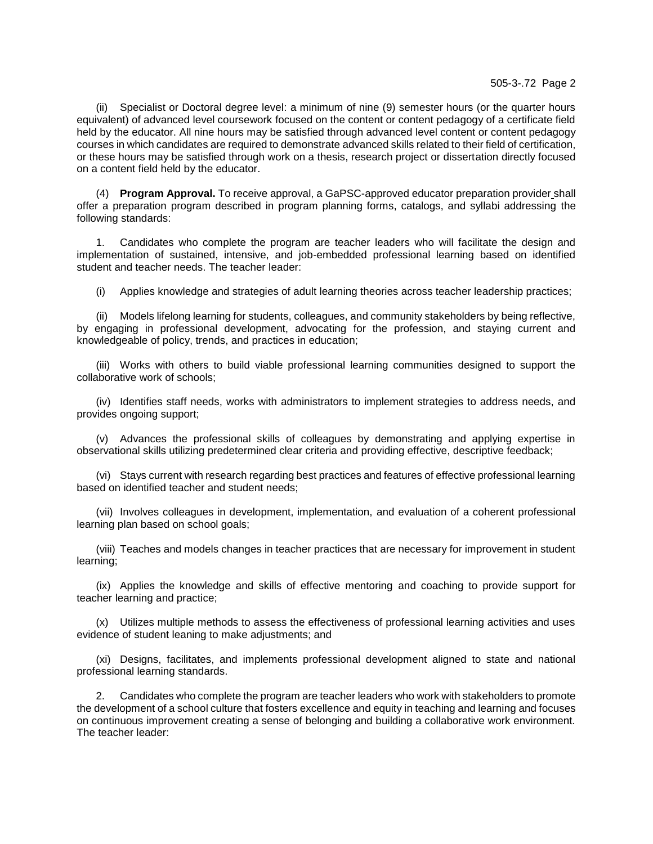(ii) Specialist or Doctoral degree level: a minimum of nine (9) semester hours (or the quarter hours equivalent) of advanced level coursework focused on the content or content pedagogy of a certificate field held by the educator. All nine hours may be satisfied through advanced level content or content pedagogy courses in which candidates are required to demonstrate advanced skills related to their field of certification, or these hours may be satisfied through work on a thesis, research project or dissertation directly focused on a content field held by the educator.

(4) **Program Approval.** To receive approval, a GaPSC-approved educator preparation provider shall offer a preparation program described in program planning forms, catalogs, and syllabi addressing the following standards:

1. Candidates who complete the program are teacher leaders who will facilitate the design and implementation of sustained, intensive, and job-embedded professional learning based on identified student and teacher needs. The teacher leader:

(i) Applies knowledge and strategies of adult learning theories across teacher leadership practices;

(ii) Models lifelong learning for students, colleagues, and community stakeholders by being reflective, by engaging in professional development, advocating for the profession, and staying current and knowledgeable of policy, trends, and practices in education;

(iii) Works with others to build viable professional learning communities designed to support the collaborative work of schools;

(iv) Identifies staff needs, works with administrators to implement strategies to address needs, and provides ongoing support;

(v) Advances the professional skills of colleagues by demonstrating and applying expertise in observational skills utilizing predetermined clear criteria and providing effective, descriptive feedback;

(vi) Stays current with research regarding best practices and features of effective professional learning based on identified teacher and student needs;

(vii) Involves colleagues in development, implementation, and evaluation of a coherent professional learning plan based on school goals;

(viii) Teaches and models changes in teacher practices that are necessary for improvement in student learning;

(ix) Applies the knowledge and skills of effective mentoring and coaching to provide support for teacher learning and practice;

(x) Utilizes multiple methods to assess the effectiveness of professional learning activities and uses evidence of student leaning to make adjustments; and

(xi) Designs, facilitates, and implements professional development aligned to state and national professional learning standards.

2. Candidates who complete the program are teacher leaders who work with stakeholders to promote the development of a school culture that fosters excellence and equity in teaching and learning and focuses on continuous improvement creating a sense of belonging and building a collaborative work environment. The teacher leader: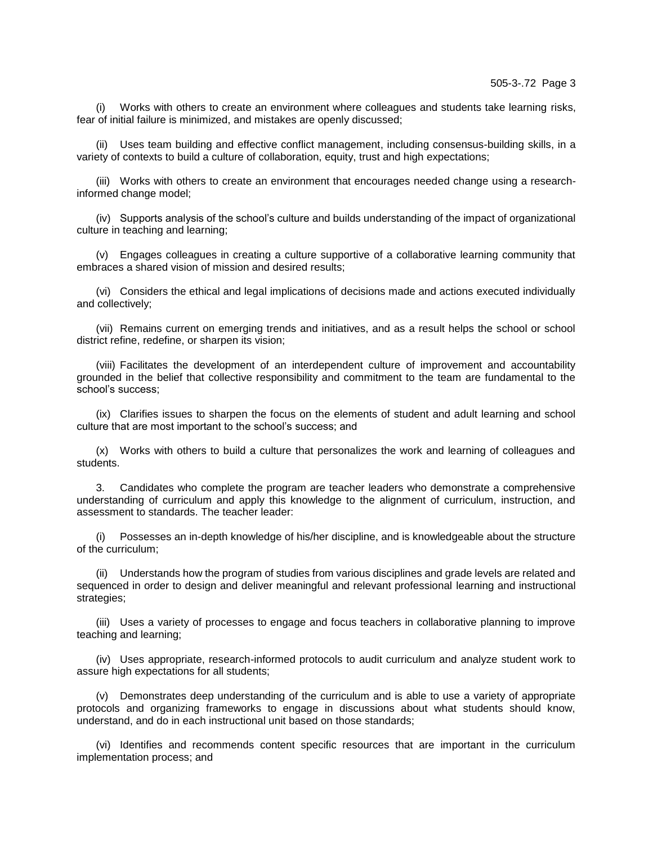(i) Works with others to create an environment where colleagues and students take learning risks, fear of initial failure is minimized, and mistakes are openly discussed;

(ii) Uses team building and effective conflict management, including consensus-building skills, in a variety of contexts to build a culture of collaboration, equity, trust and high expectations;

(iii) Works with others to create an environment that encourages needed change using a researchinformed change model;

(iv) Supports analysis of the school's culture and builds understanding of the impact of organizational culture in teaching and learning;

(v) Engages colleagues in creating a culture supportive of a collaborative learning community that embraces a shared vision of mission and desired results;

(vi) Considers the ethical and legal implications of decisions made and actions executed individually and collectively;

(vii) Remains current on emerging trends and initiatives, and as a result helps the school or school district refine, redefine, or sharpen its vision;

(viii) Facilitates the development of an interdependent culture of improvement and accountability grounded in the belief that collective responsibility and commitment to the team are fundamental to the school's success;

(ix) Clarifies issues to sharpen the focus on the elements of student and adult learning and school culture that are most important to the school's success; and

(x) Works with others to build a culture that personalizes the work and learning of colleagues and students.

3. Candidates who complete the program are teacher leaders who demonstrate a comprehensive understanding of curriculum and apply this knowledge to the alignment of curriculum, instruction, and assessment to standards. The teacher leader:

Possesses an in-depth knowledge of his/her discipline, and is knowledgeable about the structure of the curriculum;

(ii) Understands how the program of studies from various disciplines and grade levels are related and sequenced in order to design and deliver meaningful and relevant professional learning and instructional strategies;

(iii) Uses a variety of processes to engage and focus teachers in collaborative planning to improve teaching and learning;

(iv) Uses appropriate, research-informed protocols to audit curriculum and analyze student work to assure high expectations for all students;

(v) Demonstrates deep understanding of the curriculum and is able to use a variety of appropriate protocols and organizing frameworks to engage in discussions about what students should know, understand, and do in each instructional unit based on those standards;

(vi) Identifies and recommends content specific resources that are important in the curriculum implementation process; and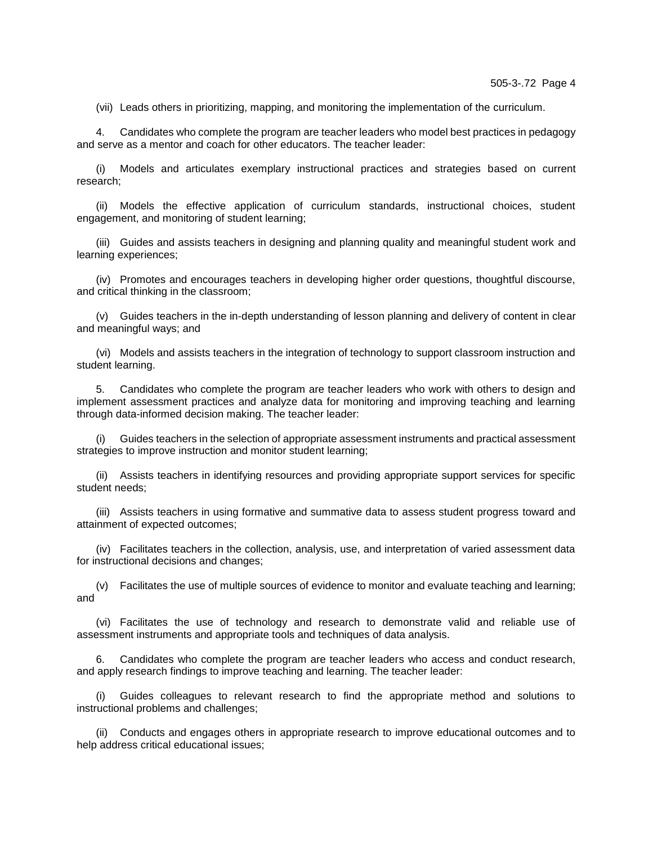(vii) Leads others in prioritizing, mapping, and monitoring the implementation of the curriculum.

4. Candidates who complete the program are teacher leaders who model best practices in pedagogy and serve as a mentor and coach for other educators. The teacher leader:

(i) Models and articulates exemplary instructional practices and strategies based on current research;

(ii) Models the effective application of curriculum standards, instructional choices, student engagement, and monitoring of student learning;

(iii) Guides and assists teachers in designing and planning quality and meaningful student work and learning experiences;

(iv) Promotes and encourages teachers in developing higher order questions, thoughtful discourse, and critical thinking in the classroom;

(v) Guides teachers in the in-depth understanding of lesson planning and delivery of content in clear and meaningful ways; and

(vi) Models and assists teachers in the integration of technology to support classroom instruction and student learning.

5. Candidates who complete the program are teacher leaders who work with others to design and implement assessment practices and analyze data for monitoring and improving teaching and learning through data-informed decision making. The teacher leader:

(i) Guides teachers in the selection of appropriate assessment instruments and practical assessment strategies to improve instruction and monitor student learning;

(ii) Assists teachers in identifying resources and providing appropriate support services for specific student needs;

(iii) Assists teachers in using formative and summative data to assess student progress toward and attainment of expected outcomes;

(iv) Facilitates teachers in the collection, analysis, use, and interpretation of varied assessment data for instructional decisions and changes;

(v) Facilitates the use of multiple sources of evidence to monitor and evaluate teaching and learning; and

(vi) Facilitates the use of technology and research to demonstrate valid and reliable use of assessment instruments and appropriate tools and techniques of data analysis.

6. Candidates who complete the program are teacher leaders who access and conduct research, and apply research findings to improve teaching and learning. The teacher leader:

Guides colleagues to relevant research to find the appropriate method and solutions to instructional problems and challenges;

(ii) Conducts and engages others in appropriate research to improve educational outcomes and to help address critical educational issues;